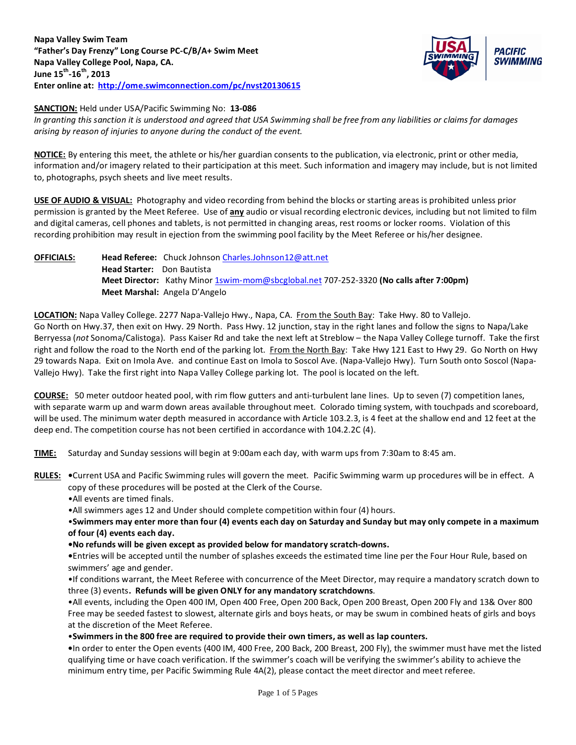

### **SANCTION:** Held under USA/Pacific Swimming No: **13-086**

*In granting this sanction it is understood and agreed that USA Swimming shall be free from any liabilities or claims for damages arising by reason of injuries to anyone during the conduct of the event.* 

**NOTICE:** By entering this meet, the athlete or his/her guardian consents to the publication, via electronic, print or other media, information and/or imagery related to their participation at this meet. Such information and imagery may include, but is not limited to, photographs, psych sheets and live meet results.

**USE OF AUDIO & VISUAL:** Photography and video recording from behind the blocks or starting areas is prohibited unless prior permission is granted by the Meet Referee. Use of **any** audio or visual recording electronic devices, including but not limited to film and digital cameras, cell phones and tablets, is not permitted in changing areas, rest rooms or locker rooms. Violation of this recording prohibition may result in ejection from the swimming pool facility by the Meet Referee or his/her designee.

# **OFFICIALS: Head Referee:** Chuck Johnson [Charles.Johnson12@att.net](mailto:Charles.Johnson12@att.net) **Head Starter:** Don Bautista **Meet Director:** Kathy Minor [1swim-mom@sbcglobal.net](mailto:1swim-mom@sbcglobal.net) 707-252-3320 **(No calls after 7:00pm) Meet Marshal:** Angela D'Angelo

**LOCATION:** Napa Valley College. 2277 Napa-Vallejo Hwy., Napa, CA. From the South Bay: Take Hwy. 80 to Vallejo. Go North on Hwy.37, then exit on Hwy. 29 North. Pass Hwy. 12 junction, stay in the right lanes and follow the signs to Napa/Lake Berryessa (*not* Sonoma/Calistoga). Pass Kaiser Rd and take the next left at Streblow – the Napa Valley College turnoff. Take the first right and follow the road to the North end of the parking lot. From the North Bay: Take Hwy 121 East to Hwy 29. Go North on Hwy 29 towards Napa. Exit on Imola Ave. and continue East on Imola to Soscol Ave. (Napa-Vallejo Hwy). Turn South onto Soscol (Napa-Vallejo Hwy). Take the first right into Napa Valley College parking lot. The pool is located on the left.

**COURSE:** 50 meter outdoor heated pool, with rim flow gutters and anti-turbulent lane lines. Up to seven (7) competition lanes, with separate warm up and warm down areas available throughout meet. Colorado timing system, with touchpads and scoreboard, will be used. The minimum water depth measured in accordance with Article 103.2.3, is 4 feet at the shallow end and 12 feet at the deep end. The competition course has not been certified in accordance with 104.2.2C (4).

**TIME:** Saturday and Sunday sessions will begin at 9:00am each day, with warm ups from 7:30am to 8:45 am.

- **RULES: •**Current USA and Pacific Swimming rules will govern the meet. Pacific Swimming warm up procedures will be in effect. A copy of these procedures will be posted at the Clerk of the Course.
	- •All events are timed finals.
	- •All swimmers ages 12 and Under should complete competition within four (4) hours.

•**Swimmers may enter more than four (4) events each day on Saturday and Sunday but may only compete in a maximum of four (4) events each day.** 

**•No refunds will be given except as provided below for mandatory scratch-downs.** 

**•**Entries will be accepted until the number of splashes exceeds the estimated time line per the Four Hour Rule, based on swimmers' age and gender.

•If conditions warrant, the Meet Referee with concurrence of the Meet Director, may require a mandatory scratch down to three (3) events**. Refunds will be given ONLY for any mandatory scratchdowns**.

•All events, including the Open 400 IM, Open 400 Free, Open 200 Back, Open 200 Breast, Open 200 Fly and 13& Over 800 Free may be seeded fastest to slowest, alternate girls and boys heats, or may be swum in combined heats of girls and boys at the discretion of the Meet Referee.

•**Swimmers in the 800 free are required to provide their own timers, as well as lap counters.**

**•**In order to enter the Open events (400 IM, 400 Free, 200 Back, 200 Breast, 200 Fly), the swimmer must have met the listed qualifying time or have coach verification. If the swimmer's coach will be verifying the swimmer's ability to achieve the minimum entry time, per Pacific Swimming Rule 4A(2), please contact the meet director and meet referee.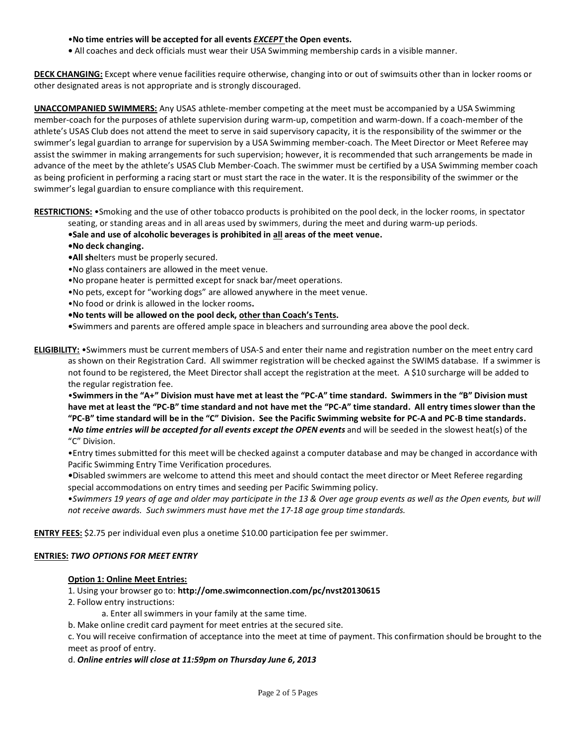#### •**No time entries will be accepted for all events** *EXCEPT* **the Open events.**

**•** All coaches and deck officials must wear their USA Swimming membership cards in a visible manner.

**DECK CHANGING:** Except where venue facilities require otherwise, changing into or out of swimsuits other than in locker rooms or other designated areas is not appropriate and is strongly discouraged.

**UNACCOMPANIED SWIMMERS:** Any USAS athlete-member competing at the meet must be accompanied by a USA Swimming member-coach for the purposes of athlete supervision during warm-up, competition and warm-down. If a coach-member of the athlete's USAS Club does not attend the meet to serve in said supervisory capacity, it is the responsibility of the swimmer or the swimmer's legal guardian to arrange for supervision by a USA Swimming member-coach. The Meet Director or Meet Referee may assist the swimmer in making arrangements for such supervision; however, it is recommended that such arrangements be made in advance of the meet by the athlete's USAS Club Member-Coach. The swimmer must be certified by a USA Swimming member coach as being proficient in performing a racing start or must start the race in the water. It is the responsibility of the swimmer or the swimmer's legal guardian to ensure compliance with this requirement.

**RESTRICTIONS:** •Smoking and the use of other tobacco products is prohibited on the pool deck, in the locker rooms, in spectator

- seating, or standing areas and in all areas used by swimmers, during the meet and during warm-up periods.
- **•Sale and use of alcoholic beverages is prohibited in all areas of the meet venue.**
- **•No deck changing.**
- **•All sh**elters must be properly secured.
- •No glass containers are allowed in the meet venue.
- •No propane heater is permitted except for snack bar/meet operations.
- •No pets, except for "working dogs" are allowed anywhere in the meet venue.
- •No food or drink is allowed in the locker rooms**.**
- **•No tents will be allowed on the pool deck, other than Coach's Tents.**
- **•**Swimmers and parents are offered ample space in bleachers and surrounding area above the pool deck.

**ELIGIBILITY:** •Swimmers must be current members of USA-S and enter their name and registration number on the meet entry card as shown on their Registration Card. All swimmer registration will be checked against the SWIMS database. If a swimmer is not found to be registered, the Meet Director shall accept the registration at the meet. A \$10 surcharge will be added to the regular registration fee.

•**Swimmers in the "A+" Division must have met at least the "PC-A" time standard. Swimmers in the "B" Division must have met at least the "PC-B" time standard and not have met the "PC-A" time standard. All entry times slower than the "PC-B" time standard will be in the "C" Division. See the Pacific Swimming website for PC-A and PC-B time standards.**

•*No time entries will be accepted for all events except the OPEN events* and will be seeded in the slowest heat(s) of the "C" Division.

•Entry times submitted for this meet will be checked against a computer database and may be changed in accordance with Pacific Swimming Entry Time Verification procedures*.* 

*•*Disabled swimmers are welcome to attend this meet and should contact the meet director or Meet Referee regarding special accommodations on entry times and seeding per Pacific Swimming policy.

•*Swimmers 19 years of age and older may participate in the 13 & Over age group events as well as the Open events, but will not receive awards. Such swimmers must have met the 17-18 age group time standards.* 

**ENTRY FEES:** \$2.75 per individual even plus a onetime \$10.00 participation fee per swimmer.

### **ENTRIES:** *TWO OPTIONS FOR MEET ENTRY*

### **Option 1: Online Meet Entries:**

- 1. Using your browser go to: **http://ome.swimconnection.com/pc/nvst20130615**
- 2. Follow entry instructions:
	- a. Enter all swimmers in your family at the same time.
- b. Make online credit card payment for meet entries at the secured site.

c. You will receive confirmation of acceptance into the meet at time of payment. This confirmation should be brought to the meet as proof of entry.

d. *Online entries will close at 11:59pm on Thursday June 6, 2013*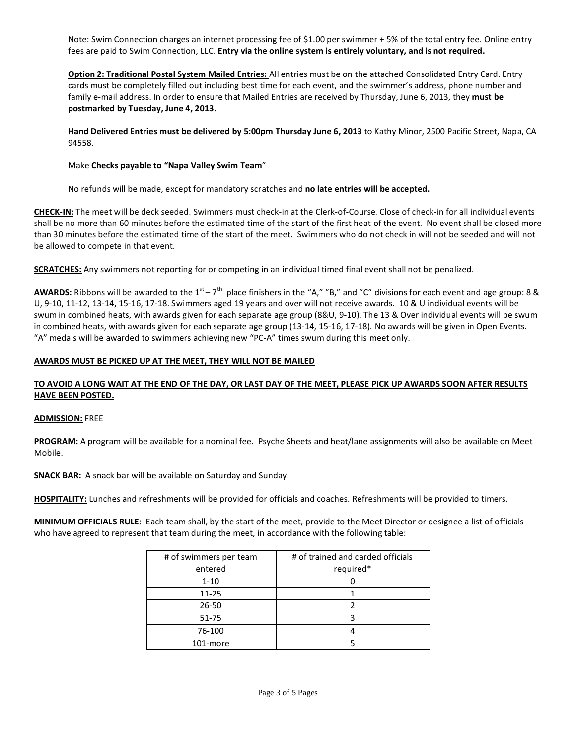Note: Swim Connection charges an internet processing fee of \$1.00 per swimmer + 5% of the total entry fee. Online entry fees are paid to Swim Connection, LLC. **Entry via the online system is entirely voluntary, and is not required.** 

**Option 2: Traditional Postal System Mailed Entries:** All entries must be on the attached Consolidated Entry Card. Entry cards must be completely filled out including best time for each event, and the swimmer's address, phone number and family e-mail address. In order to ensure that Mailed Entries are received by Thursday, June 6, 2013, they **must be postmarked by Tuesday, June 4, 2013.** 

**Hand Delivered Entries must be delivered by 5:00pm Thursday June 6, 2013** to Kathy Minor, 2500 Pacific Street, Napa, CA 94558.

### Make **Checks payable to "Napa Valley Swim Team**"

No refunds will be made, except for mandatory scratches and **no late entries will be accepted.** 

**CHECK-IN:** The meet will be deck seeded. Swimmers must check-in at the Clerk-of-Course. Close of check-in for all individual events shall be no more than 60 minutes before the estimated time of the start of the first heat of the event. No event shall be closed more than 30 minutes before the estimated time of the start of the meet. Swimmers who do not check in will not be seeded and will not be allowed to compete in that event.

**SCRATCHES:** Any swimmers not reporting for or competing in an individual timed final event shall not be penalized.

**AWARDS:** Ribbons will be awarded to the  $1^{st} - 7^{th}$  place finishers in the "A," "B," and "C" divisions for each event and age group: 8 & U, 9-10, 11-12, 13-14, 15-16, 17-18. Swimmers aged 19 years and over will not receive awards. 10 & U individual events will be swum in combined heats, with awards given for each separate age group (8&U, 9-10). The 13 & Over individual events will be swum in combined heats, with awards given for each separate age group (13-14, 15-16, 17-18). No awards will be given in Open Events. "A" medals will be awarded to swimmers achieving new "PC-A" times swum during this meet only.

### **AWARDS MUST BE PICKED UP AT THE MEET, THEY WILL NOT BE MAILED**

### **TO AVOID A LONG WAIT AT THE END OF THE DAY, OR LAST DAY OF THE MEET, PLEASE PICK UP AWARDS SOON AFTER RESULTS HAVE BEEN POSTED.**

### **ADMISSION:** FREE

**PROGRAM:** A program will be available for a nominal fee. Psyche Sheets and heat/lane assignments will also be available on Meet Mobile.

**SNACK BAR:** A snack bar will be available on Saturday and Sunday.

**HOSPITALITY:** Lunches and refreshments will be provided for officials and coaches. Refreshments will be provided to timers.

**MINIMUM OFFICIALS RULE**: Each team shall, by the start of the meet, provide to the Meet Director or designee a list of officials who have agreed to represent that team during the meet, in accordance with the following table:

| # of swimmers per team | # of trained and carded officials |
|------------------------|-----------------------------------|
| entered                | required*                         |
| $1 - 10$               |                                   |
| $11 - 25$              |                                   |
| $26 - 50$              |                                   |
| $51 - 75$              |                                   |
| 76-100                 |                                   |
| 101-more               |                                   |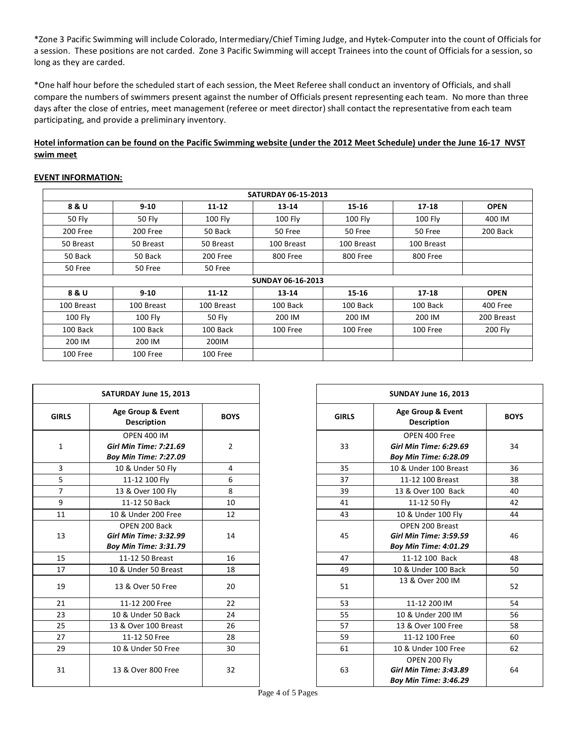\*Zone 3 Pacific Swimming will include Colorado, Intermediary/Chief Timing Judge, and Hytek-Computer into the count of Officials for a session. These positions are not carded. Zone 3 Pacific Swimming will accept Trainees into the count of Officials for a session, so long as they are carded.

\*One half hour before the scheduled start of each session, the Meet Referee shall conduct an inventory of Officials, and shall compare the numbers of swimmers present against the number of Officials present representing each team. No more than three days after the close of entries, meet management (referee or meet director) shall contact the representative from each team participating, and provide a preliminary inventory.

## **Hotel information can be found on the Pacific Swimming website (under the 2012 Meet Schedule) under the June 16-17 NVST swim meet**

#### **EVENT INFORMATION:**

| <b>SATURDAY 06-15-2013</b>                                                           |            |            |                          |            |            |             |  |  |  |
|--------------------------------------------------------------------------------------|------------|------------|--------------------------|------------|------------|-------------|--|--|--|
| 8 & U                                                                                | $9 - 10$   | $11 - 12$  | $13 - 14$                | $15 - 16$  | $17 - 18$  | <b>OPEN</b> |  |  |  |
| 50 Fly                                                                               | 50 Fly     | 100 Fly    | 100 Fly                  | 100 Fly    | 100 Fly    | 400 IM      |  |  |  |
| 200 Free                                                                             | 200 Free   | 50 Back    | 50 Free                  | 50 Free    | 50 Free    | 200 Back    |  |  |  |
| 50 Breast                                                                            | 50 Breast  | 50 Breast  | 100 Breast               | 100 Breast | 100 Breast |             |  |  |  |
| 50 Back                                                                              | 50 Back    | 200 Free   | 800 Free                 | 800 Free   | 800 Free   |             |  |  |  |
| 50 Free                                                                              | 50 Free    | 50 Free    |                          |            |            |             |  |  |  |
|                                                                                      |            |            | <b>SUNDAY 06-16-2013</b> |            |            |             |  |  |  |
| $11 - 12$<br>$15 - 16$<br>8 & U<br>$9 - 10$<br>$13 - 14$<br>$17 - 18$<br><b>OPEN</b> |            |            |                          |            |            |             |  |  |  |
| 100 Breast                                                                           | 100 Breast | 100 Breast | 100 Back                 | 100 Back   | 100 Back   | 400 Free    |  |  |  |
| 100 Fly                                                                              | 100 Fly    | 50 Fly     | 200 IM                   | 200 IM     | 200 IM     | 200 Breast  |  |  |  |
| 100 Back                                                                             | 100 Back   | 100 Back   | 100 Free                 | 100 Free   | 100 Free   | 200 Fly     |  |  |  |
| 200 IM                                                                               | 200 IM     | 200IM      |                          |            |            |             |  |  |  |
| 100 Free                                                                             | 100 Free   | 100 Free   |                          |            |            |             |  |  |  |

|                | SATURDAY June 15, 2013                                                              |                |              | SUNDAY June 16, 2013                                                             |           |
|----------------|-------------------------------------------------------------------------------------|----------------|--------------|----------------------------------------------------------------------------------|-----------|
| <b>GIRLS</b>   | Age Group & Event<br><b>BOYS</b><br><b>Description</b>                              |                | <b>GIRLS</b> | Age Group & Event<br><b>Description</b>                                          | <b>BO</b> |
| $\mathbf{1}$   | <b>OPEN 400 IM</b><br><b>Girl Min Time: 7:21.69</b><br><b>Boy Min Time: 7:27.09</b> | $\overline{2}$ | 33           | OPEN 400 Free<br>Girl Min Time: 6:29.69<br><b>Boy Min Time: 6:28.09</b>          | 34        |
| $\overline{3}$ | 10 & Under 50 Fly                                                                   | $\overline{4}$ | 35           | 10 & Under 100 Breast                                                            | 36        |
| 5              | 11-12 100 Fly                                                                       | 6              | 37           | 11-12 100 Breast                                                                 | 38        |
| $\overline{7}$ | 13 & Over 100 Fly                                                                   | 8              | 39           | 13 & Over 100 Back                                                               | 40        |
| 9              | 11-12 50 Back                                                                       | 10             | 41           | 11-12 50 Fly                                                                     | 42        |
| 11             | 10 & Under 200 Free                                                                 | 12             | 43           | 10 & Under 100 Fly                                                               | 44        |
| 13             | OPEN 200 Back<br>Girl Min Time: 3:32.99<br><b>Boy Min Time: 3:31.79</b>             | 14             | 45           | OPEN 200 Breast<br><b>Girl Min Time: 3:59.59</b><br><b>Boy Min Time: 4:01.29</b> | 46        |
| 15             | 11-12 50 Breast                                                                     | 16             | 47           | 11-12 100 Back                                                                   | 48        |
| 17             | 10 & Under 50 Breast                                                                | 18             | 49           | 10 & Under 100 Back                                                              | 50        |
| 19             | 13 & Over 50 Free                                                                   | 20             | 51           | 13 & Over 200 IM                                                                 | 52        |
| 21             | 11-12 200 Free                                                                      | 22             | 53           | 11-12 200 IM                                                                     | 54        |
| 23             | 10 & Under 50 Back                                                                  | 24             | 55           | 10 & Under 200 IM                                                                | 56        |
| 25             | 13 & Over 100 Breast                                                                | 26             | 57           | 13 & Over 100 Free                                                               | 58        |
| 27             | 11-12 50 Free                                                                       | 28             | 59           | 11-12 100 Free                                                                   | <b>60</b> |
| 29             | 10 & Under 50 Free                                                                  | 30             | 61           | 10 & Under 100 Free                                                              | 62        |
| 31             | 13 & Over 800 Free                                                                  | 32             | 63           | OPEN 200 Fly<br>Girl Min Time: 3:43.89<br><b>Boy Min Time: 3:46.29</b>           | 64        |

|                 | SATURDAY June 15, 2013                                                              |             |              | SUNDAY June 16, 2013                                                             |    |
|-----------------|-------------------------------------------------------------------------------------|-------------|--------------|----------------------------------------------------------------------------------|----|
| <b>RLS</b>      | Age Group & Event<br><b>Description</b>                                             | <b>BOYS</b> | <b>GIRLS</b> | Age Group & Event<br>Description                                                 |    |
| 1               | <b>OPEN 400 IM</b><br><b>Girl Min Time: 7:21.69</b><br><b>Boy Min Time: 7:27.09</b> | 2           | 33           | OPEN 400 Free<br>Girl Min Time: 6:29.69<br>Boy Min Time: 6:28.09                 | 34 |
| $\overline{3}$  | 10 & Under 50 Fly                                                                   | 4           | 35           | 10 & Under 100 Breast                                                            | 36 |
| $rac{1}{7}$     | 11-12 100 Fly                                                                       | 6           | 37           | 11-12 100 Breast                                                                 | 38 |
|                 | 13 & Over 100 Fly                                                                   | 8           | 39           | 13 & Over 100 Back                                                               | 40 |
| $\overline{9}$  | 11-12 50 Back                                                                       | 10          | 41           | 11-12 50 Fly                                                                     | 42 |
| $\overline{11}$ | 10 & Under 200 Free                                                                 | 12          | 43           | 10 & Under 100 Fly                                                               | 44 |
| L3              | OPEN 200 Back<br>Girl Min Time: 3:32.99<br><b>Boy Min Time: 3:31.79</b>             | 14          | 45           | OPEN 200 Breast<br><b>Girl Min Time: 3:59.59</b><br><b>Boy Min Time: 4:01.29</b> | 46 |
| L5              | 11-12 50 Breast                                                                     | 16          | 47           | 11-12 100 Back                                                                   | 48 |
| $\overline{17}$ | 10 & Under 50 Breast                                                                | 18          | 49           | 10 & Under 100 Back                                                              | 50 |
| L9              | 13 & Over 50 Free                                                                   | 20          | 51           | 13 & Over 200 IM                                                                 | 52 |
| $\overline{21}$ | 11-12 200 Free                                                                      | 22          | 53           | 11-12 200 IM                                                                     | 54 |
| $^{23}$         | 10 & Under 50 Back                                                                  | 24          | 55           | 10 & Under 200 IM                                                                | 56 |
| $\overline{25}$ | 13 & Over 100 Breast                                                                | 26          | 57           | 13 & Over 100 Free                                                               | 58 |
| 27              | 11-12 50 Free                                                                       | 28          | 59           | 11-12 100 Free                                                                   | 60 |
| 29              | 10 & Under 50 Free                                                                  | 30          | 61           | 10 & Under 100 Free                                                              | 62 |
| 31              | 13 & Over 800 Free                                                                  | 32          | 63           | OPEN 200 Fly<br>Girl Min Time: 3:43.89<br><b>Boy Min Time: 3:46.29</b>           | 64 |